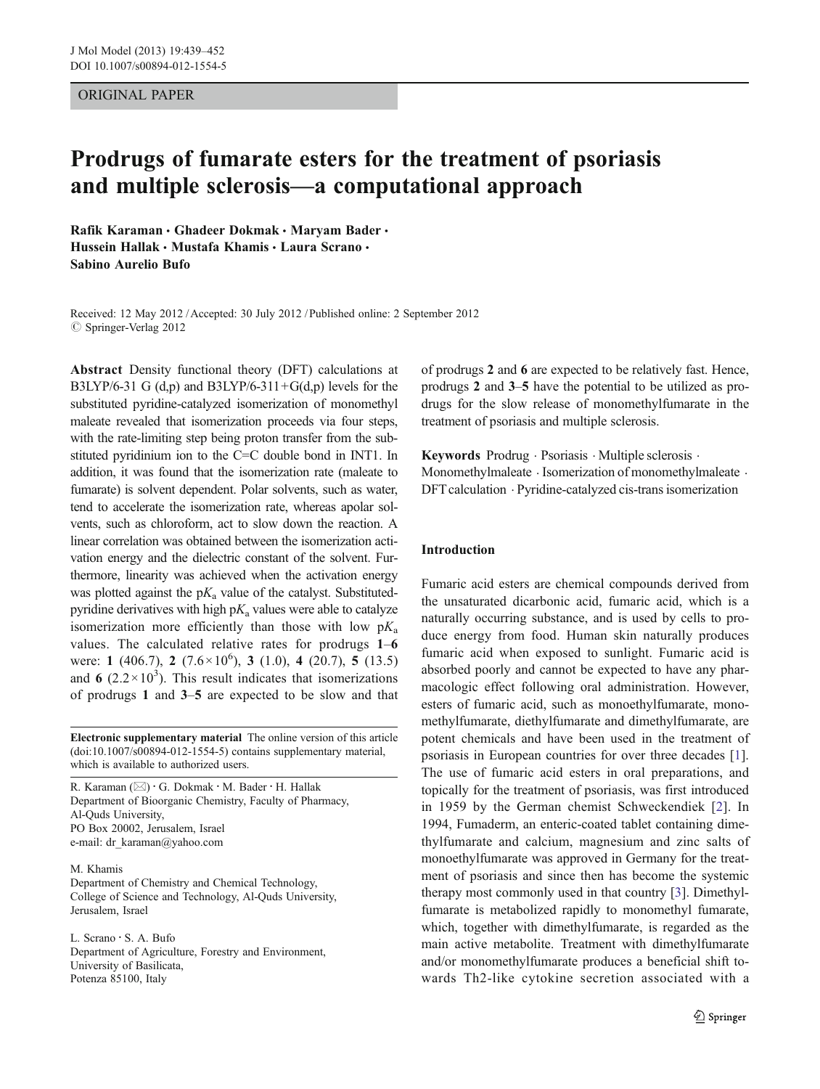## <span id="page-0-0"></span>ORIGINAL PAPER

# Prodrugs of fumarate esters for the treatment of psoriasis and multiple sclerosis—a computational approach

Rafik Karaman • Ghadeer Dokmak • Maryam Bader • Hussein Hallak · Mustafa Khamis · Laura Scrano · Sabino Aurelio Bufo

Received: 12 May 2012 / Accepted: 30 July 2012 / Published online: 2 September 2012  $\oslash$  Springer-Verlag 2012

Abstract Density functional theory (DFT) calculations at B3LYP/6-31 G  $(d,p)$  and B3LYP/6-311+G $(d,p)$  levels for the substituted pyridine-catalyzed isomerization of monomethyl maleate revealed that isomerization proceeds via four steps, with the rate-limiting step being proton transfer from the substituted pyridinium ion to the  $C=C$  double bond in INT1. In addition, it was found that the isomerization rate (maleate to fumarate) is solvent dependent. Polar solvents, such as water, tend to accelerate the isomerization rate, whereas apolar solvents, such as chloroform, act to slow down the reaction. A linear correlation was obtained between the isomerization activation energy and the dielectric constant of the solvent. Furthermore, linearity was achieved when the activation energy was plotted against the  $pK_a$  value of the catalyst. Substitutedpyridine derivatives with high  $pK_a$  values were able to catalyze isomerization more efficiently than those with low  $pK_a$ values. The calculated relative rates for prodrugs 1–6 were: 1 (406.7), 2 (7.6  $\times$  10<sup>6</sup>), 3 (1.0), 4 (20.7), 5 (13.5) and 6  $(2.2 \times 10^3)$ . This result indicates that isomerizations of prodrugs 1 and 3–5 are expected to be slow and that

Electronic supplementary material The online version of this article (doi:[10.1007/s00894-012-1554-5](http://dx.doi.org/10.1007/s00894-012-1554-5)) contains supplementary material, which is available to authorized users.

R. Karaman  $(\boxtimes) \cdot G$ . Dokmak  $\cdot M$ . Bader  $\cdot H$ . Hallak Department of Bioorganic Chemistry, Faculty of Pharmacy, Al-Quds University, PO Box 20002, Jerusalem, Israel e-mail: dr\_karaman@yahoo.com

#### M. Khamis

Department of Chemistry and Chemical Technology, College of Science and Technology, Al-Quds University, Jerusalem, Israel

L. Scrano : S. A. Bufo Department of Agriculture, Forestry and Environment, University of Basilicata, Potenza 85100, Italy

of prodrugs 2 and 6 are expected to be relatively fast. Hence, prodrugs 2 and 3–5 have the potential to be utilized as prodrugs for the slow release of monomethylfumarate in the treatment of psoriasis and multiple sclerosis.

Keywords Prodrug . Psoriasis . Multiple sclerosis . Monomethylmaleate  $\cdot$  Isomerization of monomethylmaleate  $\cdot$ DFT calculation . Pyridine-catalyzed cis-trans isomerization

## Introduction

Fumaric acid esters are chemical compounds derived from the unsaturated dicarbonic acid, fumaric acid, which is a naturally occurring substance, and is used by cells to produce energy from food. Human skin naturally produces fumaric acid when exposed to sunlight. Fumaric acid is absorbed poorly and cannot be expected to have any pharmacologic effect following oral administration. However, esters of fumaric acid, such as monoethylfumarate, monomethylfumarate, diethylfumarate and dimethylfumarate, are potent chemicals and have been used in the treatment of psoriasis in European countries for over three decades [[1\]](#page-12-0). The use of fumaric acid esters in oral preparations, and topically for the treatment of psoriasis, was first introduced in 1959 by the German chemist Schweckendiek [\[2](#page-12-0)]. In 1994, Fumaderm, an enteric-coated tablet containing dimethylfumarate and calcium, magnesium and zinc salts of monoethylfumarate was approved in Germany for the treatment of psoriasis and since then has become the systemic therapy most commonly used in that country [\[3](#page-12-0)]. Dimethylfumarate is metabolized rapidly to monomethyl fumarate, which, together with dimethylfumarate, is regarded as the main active metabolite. Treatment with dimethylfumarate and/or monomethylfumarate produces a beneficial shift towards Th2-like cytokine secretion associated with a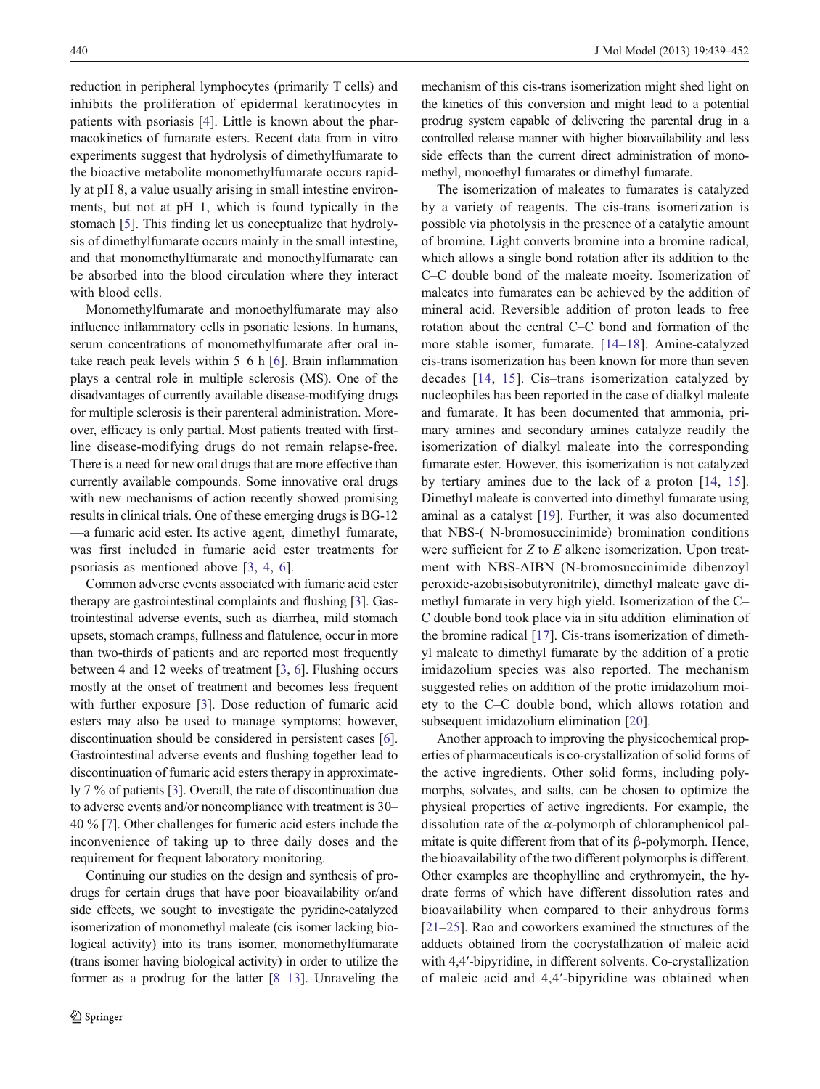reduction in peripheral lymphocytes (primarily T cells) and inhibits the proliferation of epidermal keratinocytes in patients with psoriasis [[4\]](#page-12-0). Little is known about the pharmacokinetics of fumarate esters. Recent data from in vitro experiments suggest that hydrolysis of dimethylfumarate to the bioactive metabolite monomethylfumarate occurs rapidly at pH 8, a value usually arising in small intestine environments, but not at pH 1, which is found typically in the stomach [\[5](#page-12-0)]. This finding let us conceptualize that hydrolysis of dimethylfumarate occurs mainly in the small intestine, and that monomethylfumarate and monoethylfumarate can be absorbed into the blood circulation where they interact with blood cells.

Monomethylfumarate and monoethylfumarate may also influence inflammatory cells in psoriatic lesions. In humans, serum concentrations of monomethylfumarate after oral intake reach peak levels within  $5-6$  h  $[6]$  $[6]$ . Brain inflammation plays a central role in multiple sclerosis (MS). One of the disadvantages of currently available disease-modifying drugs for multiple sclerosis is their parenteral administration. Moreover, efficacy is only partial. Most patients treated with firstline disease-modifying drugs do not remain relapse-free. There is a need for new oral drugs that are more effective than currently available compounds. Some innovative oral drugs with new mechanisms of action recently showed promising results in clinical trials. One of these emerging drugs is BG-12 —a fumaric acid ester. Its active agent, dimethyl fumarate, was first included in fumaric acid ester treatments for psoriasis as mentioned above [[3,](#page-12-0) [4](#page-12-0), [6\]](#page-12-0).

Common adverse events associated with fumaric acid ester therapy are gastrointestinal complaints and flushing [[3\]](#page-12-0). Gastrointestinal adverse events, such as diarrhea, mild stomach upsets, stomach cramps, fullness and flatulence, occur in more than two-thirds of patients and are reported most frequently between 4 and 12 weeks of treatment [[3,](#page-12-0) [6\]](#page-12-0). Flushing occurs mostly at the onset of treatment and becomes less frequent with further exposure [[3\]](#page-12-0). Dose reduction of fumaric acid esters may also be used to manage symptoms; however, discontinuation should be considered in persistent cases [[6\]](#page-12-0). Gastrointestinal adverse events and flushing together lead to discontinuation of fumaric acid esters therapy in approximately 7 % of patients [[3\]](#page-12-0). Overall, the rate of discontinuation due to adverse events and/or noncompliance with treatment is 30– 40 % [\[7\]](#page-12-0). Other challenges for fumeric acid esters include the inconvenience of taking up to three daily doses and the requirement for frequent laboratory monitoring.

Continuing our studies on the design and synthesis of prodrugs for certain drugs that have poor bioavailability or/and side effects, we sought to investigate the pyridine-catalyzed isomerization of monomethyl maleate (cis isomer lacking biological activity) into its trans isomer, monomethylfumarate (trans isomer having biological activity) in order to utilize the former as a prodrug for the latter [\[8](#page-12-0)–[13](#page-12-0)]. Unraveling the mechanism of this cis-trans isomerization might shed light on the kinetics of this conversion and might lead to a potential prodrug system capable of delivering the parental drug in a controlled release manner with higher bioavailability and less side effects than the current direct administration of monomethyl, monoethyl fumarates or dimethyl fumarate.

The isomerization of maleates to fumarates is catalyzed by a variety of reagents. The cis-trans isomerization is possible via photolysis in the presence of a catalytic amount of bromine. Light converts bromine into a bromine radical, which allows a single bond rotation after its addition to the C–C double bond of the maleate moeity. Isomerization of maleates into fumarates can be achieved by the addition of mineral acid. Reversible addition of proton leads to free rotation about the central C–C bond and formation of the more stable isomer, fumarate. [[14](#page-12-0)–[18](#page-12-0)]. Amine-catalyzed cis-trans isomerization has been known for more than seven decades [[14](#page-12-0), [15](#page-12-0)]. Cis–trans isomerization catalyzed by nucleophiles has been reported in the case of dialkyl maleate and fumarate. It has been documented that ammonia, primary amines and secondary amines catalyze readily the isomerization of dialkyl maleate into the corresponding fumarate ester. However, this isomerization is not catalyzed by tertiary amines due to the lack of a proton [\[14](#page-12-0), [15](#page-12-0)]. Dimethyl maleate is converted into dimethyl fumarate using aminal as a catalyst [[19\]](#page-12-0). Further, it was also documented that NBS-( N-bromosuccinimide) bromination conditions were sufficient for Z to E alkene isomerization. Upon treatment with NBS-AIBN (N-bromosuccinimide dibenzoyl peroxide-azobisisobutyronitrile), dimethyl maleate gave dimethyl fumarate in very high yield. Isomerization of the C– C double bond took place via in situ addition–elimination of the bromine radical [\[17](#page-12-0)]. Cis-trans isomerization of dimethyl maleate to dimethyl fumarate by the addition of a protic imidazolium species was also reported. The mechanism suggested relies on addition of the protic imidazolium moiety to the C–C double bond, which allows rotation and subsequent imidazolium elimination [\[20](#page-12-0)].

Another approach to improving the physicochemical properties of pharmaceuticals is co-crystallization of solid forms of the active ingredients. Other solid forms, including polymorphs, solvates, and salts, can be chosen to optimize the physical properties of active ingredients. For example, the dissolution rate of the  $\alpha$ -polymorph of chloramphenicol palmitate is quite different from that of its β-polymorph. Hence, the bioavailability of the two different polymorphs is different. Other examples are theophylline and erythromycin, the hydrate forms of which have different dissolution rates and bioavailability when compared to their anhydrous forms [\[21](#page-12-0)–[25](#page-12-0)]. Rao and coworkers examined the structures of the adducts obtained from the cocrystallization of maleic acid with 4,4′-bipyridine, in different solvents. Co-crystallization of maleic acid and 4,4′-bipyridine was obtained when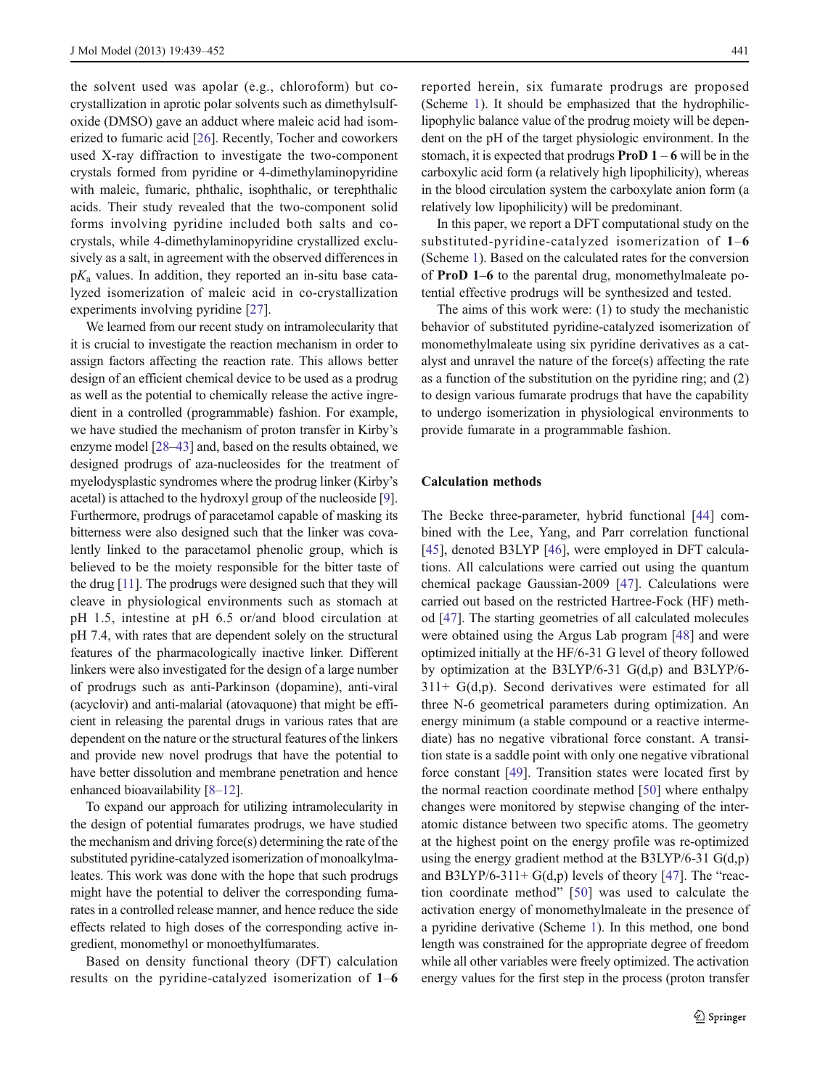the solvent used was apolar (e.g., chloroform) but cocrystallization in aprotic polar solvents such as dimethylsulfoxide (DMSO) gave an adduct where maleic acid had isomerized to fumaric acid [\[26](#page-12-0)]. Recently, Tocher and coworkers used X-ray diffraction to investigate the two-component crystals formed from pyridine or 4-dimethylaminopyridine with maleic, fumaric, phthalic, isophthalic, or terephthalic acids. Their study revealed that the two-component solid forms involving pyridine included both salts and cocrystals, while 4-dimethylaminopyridine crystallized exclusively as a salt, in agreement with the observed differences in  $pK_a$  values. In addition, they reported an in-situ base catalyzed isomerization of maleic acid in co-crystallization experiments involving pyridine [[27\]](#page-12-0).

We learned from our recent study on intramolecularity that it is crucial to investigate the reaction mechanism in order to assign factors affecting the reaction rate. This allows better design of an efficient chemical device to be used as a prodrug as well as the potential to chemically release the active ingredient in a controlled (programmable) fashion. For example, we have studied the mechanism of proton transfer in Kirby's enzyme model [\[28](#page-12-0)–[43\]](#page-13-0) and, based on the results obtained, we designed prodrugs of aza-nucleosides for the treatment of myelodysplastic syndromes where the prodrug linker (Kirby's acetal) is attached to the hydroxyl group of the nucleoside [[9\]](#page-12-0). Furthermore, prodrugs of paracetamol capable of masking its bitterness were also designed such that the linker was covalently linked to the paracetamol phenolic group, which is believed to be the moiety responsible for the bitter taste of the drug [\[11\]](#page-12-0). The prodrugs were designed such that they will cleave in physiological environments such as stomach at pH 1.5, intestine at pH 6.5 or/and blood circulation at pH 7.4, with rates that are dependent solely on the structural features of the pharmacologically inactive linker. Different linkers were also investigated for the design of a large number of prodrugs such as anti-Parkinson (dopamine), anti-viral (acyclovir) and anti-malarial (atovaquone) that might be efficient in releasing the parental drugs in various rates that are dependent on the nature or the structural features of the linkers and provide new novel prodrugs that have the potential to have better dissolution and membrane penetration and hence enhanced bioavailability [[8](#page-12-0)–[12](#page-12-0)].

To expand our approach for utilizing intramolecularity in the design of potential fumarates prodrugs, we have studied the mechanism and driving force(s) determining the rate of the substituted pyridine-catalyzed isomerization of monoalkylmaleates. This work was done with the hope that such prodrugs might have the potential to deliver the corresponding fumarates in a controlled release manner, and hence reduce the side effects related to high doses of the corresponding active ingredient, monomethyl or monoethylfumarates.

Based on density functional theory (DFT) calculation results on the pyridine-catalyzed isomerization of 1–6 reported herein, six fumarate prodrugs are proposed (Scheme [1](#page-3-0)). It should be emphasized that the hydrophiliclipophylic balance value of the prodrug moiety will be dependent on the pH of the target physiologic environment. In the stomach, it is expected that prodrugs **ProD 1** – 6 will be in the carboxylic acid form (a relatively high lipophilicity), whereas in the blood circulation system the carboxylate anion form (a relatively low lipophilicity) will be predominant.

In this paper, we report a DFT computational study on the substituted-pyridine-catalyzed isomerization of 1–6 (Scheme [1](#page-3-0)). Based on the calculated rates for the conversion of ProD 1–6 to the parental drug, monomethylmaleate potential effective prodrugs will be synthesized and tested.

The aims of this work were: (1) to study the mechanistic behavior of substituted pyridine-catalyzed isomerization of monomethylmaleate using six pyridine derivatives as a catalyst and unravel the nature of the force(s) affecting the rate as a function of the substitution on the pyridine ring; and (2) to design various fumarate prodrugs that have the capability to undergo isomerization in physiological environments to provide fumarate in a programmable fashion.

#### Calculation methods

The Becke three-parameter, hybrid functional [[44\]](#page-13-0) combined with the Lee, Yang, and Parr correlation functional [\[45](#page-13-0)], denoted B3LYP [\[46](#page-13-0)], were employed in DFT calculations. All calculations were carried out using the quantum chemical package Gaussian-2009 [[47\]](#page-13-0). Calculations were carried out based on the restricted Hartree-Fock (HF) method [\[47](#page-13-0)]. The starting geometries of all calculated molecules were obtained using the Argus Lab program [\[48](#page-13-0)] and were optimized initially at the HF/6-31 G level of theory followed by optimization at the B3LYP/6-31 G(d,p) and B3LYP/6-  $311+ G(d,p)$ . Second derivatives were estimated for all three N-6 geometrical parameters during optimization. An energy minimum (a stable compound or a reactive intermediate) has no negative vibrational force constant. A transition state is a saddle point with only one negative vibrational force constant [\[49](#page-13-0)]. Transition states were located first by the normal reaction coordinate method [\[50](#page-13-0)] where enthalpy changes were monitored by stepwise changing of the interatomic distance between two specific atoms. The geometry at the highest point on the energy profile was re-optimized using the energy gradient method at the B3LYP/6-31 G(d,p) and B3LYP/6-311+  $G(d,p)$  levels of theory [[47\]](#page-13-0). The "reaction coordinate method" [[50](#page-13-0)] was used to calculate the activation energy of monomethylmaleate in the presence of a pyridine derivative (Scheme [1\)](#page-3-0). In this method, one bond length was constrained for the appropriate degree of freedom while all other variables were freely optimized. The activation energy values for the first step in the process (proton transfer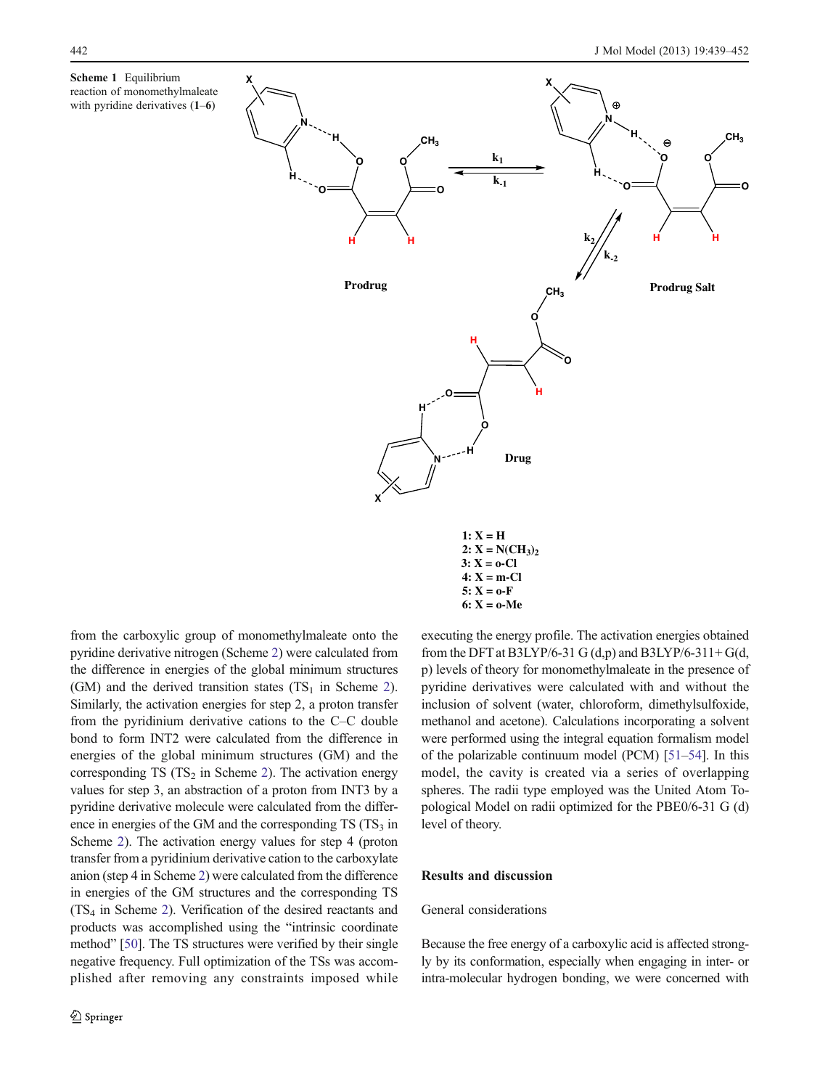<span id="page-3-0"></span>



 $2: X = N(CH_3)_2$ **3: X = o-Cl 4: X = m-Cl**  $5: X = 0-F$  **6: X = o-Me**

from the carboxylic group of monomethylmaleate onto the pyridine derivative nitrogen (Scheme [2](#page-4-0)) were calculated from the difference in energies of the global minimum structures (GM) and the derived transition states  $(TS_1$  in Scheme [2\)](#page-4-0). Similarly, the activation energies for step 2, a proton transfer from the pyridinium derivative cations to the C–C double bond to form INT2 were calculated from the difference in energies of the global minimum structures (GM) and the corresponding TS  $(TS_2$  in Scheme [2\)](#page-4-0). The activation energy values for step 3, an abstraction of a proton from INT3 by a pyridine derivative molecule were calculated from the difference in energies of the GM and the corresponding  $TS(TS<sub>3</sub> in$ Scheme [2](#page-4-0)). The activation energy values for step 4 (proton transfer from a pyridinium derivative cation to the carboxylate anion (step 4 in Scheme [2](#page-4-0)) were calculated from the difference in energies of the GM structures and the corresponding TS (TS4 in Scheme [2](#page-4-0)). Verification of the desired reactants and products was accomplished using the "intrinsic coordinate method" [\[50\]](#page-13-0). The TS structures were verified by their single negative frequency. Full optimization of the TSs was accomplished after removing any constraints imposed while executing the energy profile. The activation energies obtained from the DFT at B3LYP/6-31 G  $(d,p)$  and B3LYP/6-311+ G $(d, p)$ p) levels of theory for monomethylmaleate in the presence of pyridine derivatives were calculated with and without the inclusion of solvent (water, chloroform, dimethylsulfoxide, methanol and acetone). Calculations incorporating a solvent were performed using the integral equation formalism model of the polarizable continuum model (PCM) [\[51](#page-13-0)–[54\]](#page-13-0). In this model, the cavity is created via a series of overlapping spheres. The radii type employed was the United Atom Topological Model on radii optimized for the PBE0/6-31 G (d) level of theory.

# Results and discussion

## General considerations

Because the free energy of a carboxylic acid is affected strongly by its conformation, especially when engaging in inter- or intra-molecular hydrogen bonding, we were concerned with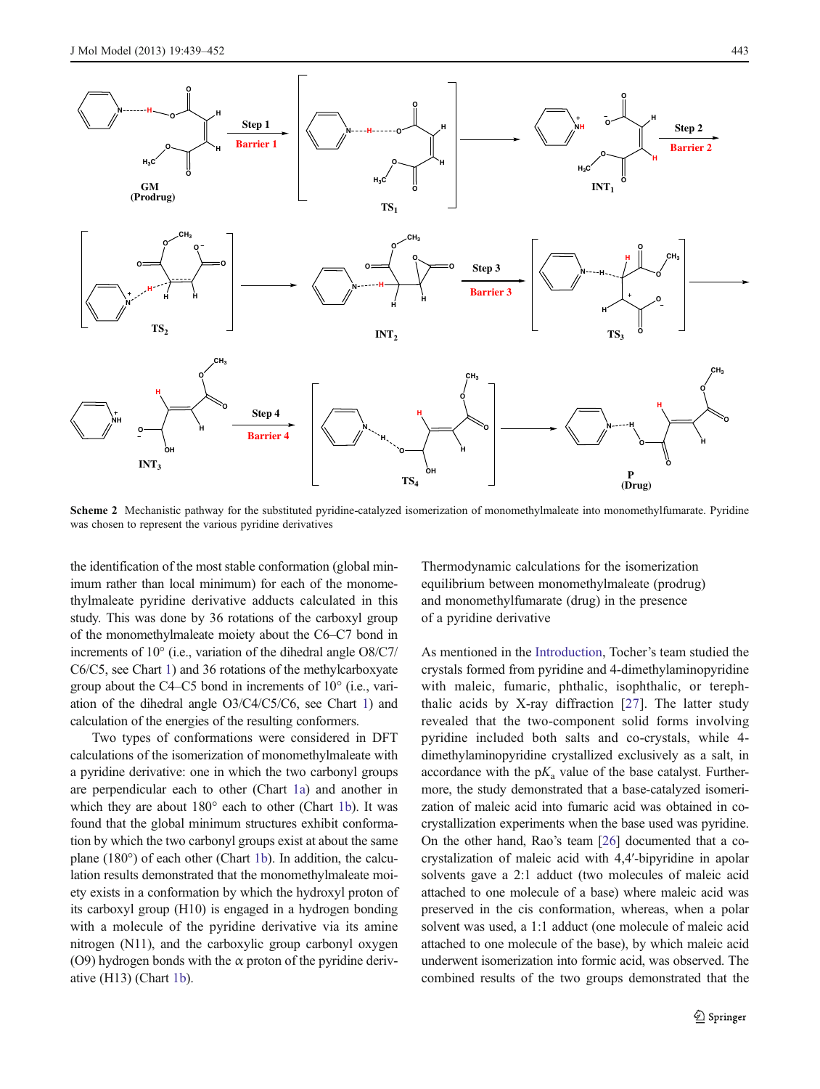<span id="page-4-0"></span>

Scheme 2 Mechanistic pathway for the substituted pyridine-catalyzed isomerization of monomethylmaleate into monomethylfumarate. Pyridine was chosen to represent the various pyridine derivatives

the identification of the most stable conformation (global minimum rather than local minimum) for each of the monomethylmaleate pyridine derivative adducts calculated in this study. This was done by 36 rotations of the carboxyl group of the monomethylmaleate moiety about the C6–C7 bond in increments of 10° (i.e., variation of the dihedral angle O8/C7/ C6/C5, see Chart [1\)](#page-5-0) and 36 rotations of the methylcarboxyate group about the C4–C5 bond in increments of 10° (i.e., variation of the dihedral angle O3/C4/C5/C6, see Chart [1\)](#page-5-0) and calculation of the energies of the resulting conformers.

Two types of conformations were considered in DFT calculations of the isomerization of monomethylmaleate with a pyridine derivative: one in which the two carbonyl groups are perpendicular each to other (Chart [1a\)](#page-5-0) and another in which they are about 180° each to other (Chart [1b](#page-5-0)). It was found that the global minimum structures exhibit conformation by which the two carbonyl groups exist at about the same plane (180°) of each other (Chart [1b](#page-5-0)). In addition, the calculation results demonstrated that the monomethylmaleate moiety exists in a conformation by which the hydroxyl proton of its carboxyl group (H10) is engaged in a hydrogen bonding with a molecule of the pyridine derivative via its amine nitrogen (N11), and the carboxylic group carbonyl oxygen (O9) hydrogen bonds with the  $\alpha$  proton of the pyridine derivative (H13) (Chart [1b](#page-5-0)).

Thermodynamic calculations for the isomerization equilibrium between monomethylmaleate (prodrug) and monomethylfumarate (drug) in the presence of a pyridine derivative

As mentioned in the [Introduction,](#page-0-0) Tocher's team studied the crystals formed from pyridine and 4-dimethylaminopyridine with maleic, fumaric, phthalic, isophthalic, or terephthalic acids by X-ray diffraction [\[27\]](#page-12-0). The latter study revealed that the two-component solid forms involving pyridine included both salts and co-crystals, while 4 dimethylaminopyridine crystallized exclusively as a salt, in accordance with the  $pK_a$  value of the base catalyst. Furthermore, the study demonstrated that a base-catalyzed isomerization of maleic acid into fumaric acid was obtained in cocrystallization experiments when the base used was pyridine. On the other hand, Rao's team [[26](#page-12-0)] documented that a cocrystalization of maleic acid with 4,4′-bipyridine in apolar solvents gave a 2:1 adduct (two molecules of maleic acid attached to one molecule of a base) where maleic acid was preserved in the cis conformation, whereas, when a polar solvent was used, a 1:1 adduct (one molecule of maleic acid attached to one molecule of the base), by which maleic acid underwent isomerization into formic acid, was observed. The combined results of the two groups demonstrated that the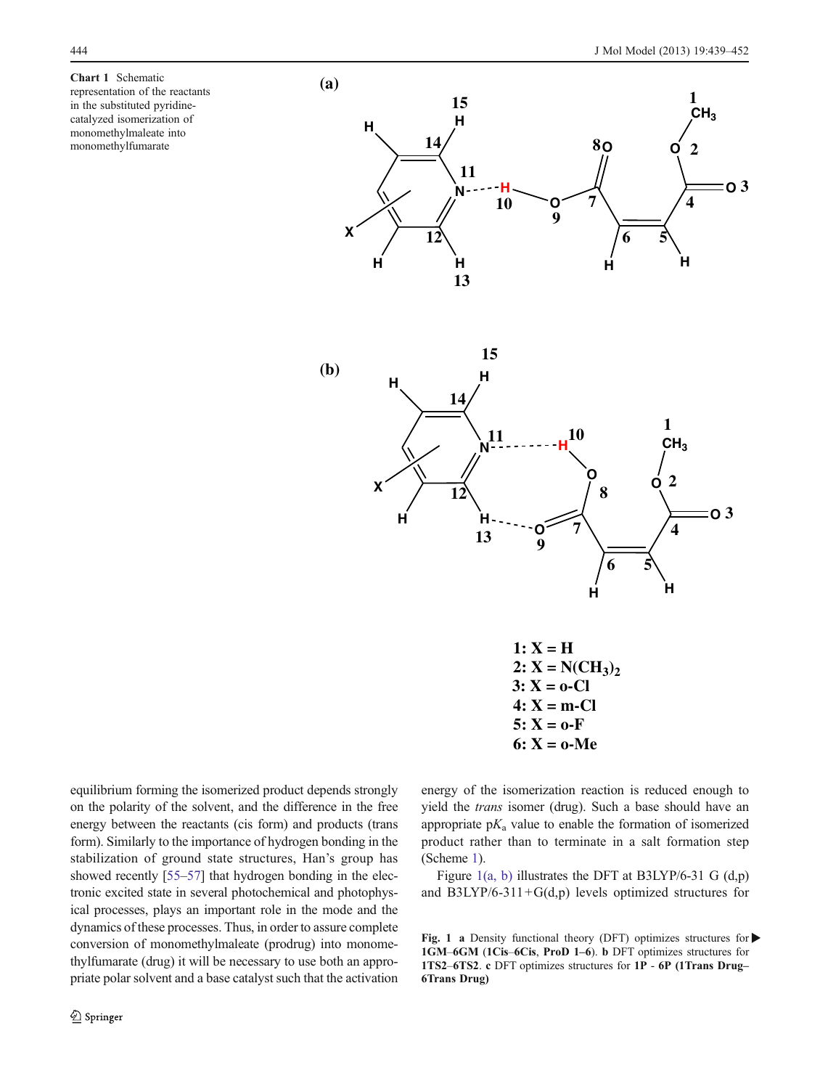<span id="page-5-0"></span>Chart 1 Schematic representation of the reactants in the substituted pyridinecatalyzed isomerization of monomethylmaleate into monomethylfumarate





 $1: X = H$  $2: X = N(CH_3)_2$ **3: X = o-Cl 4: X = m-Cl**  $5: X = 0-F$ **6: X = o-Me**

equilibrium forming the isomerized product depends strongly on the polarity of the solvent, and the difference in the free energy between the reactants (cis form) and products (trans form). Similarly to the importance of hydrogen bonding in the stabilization of ground state structures, Han's group has showed recently [\[55](#page-13-0)–[57\]](#page-13-0) that hydrogen bonding in the electronic excited state in several photochemical and photophysical processes, plays an important role in the mode and the dynamics of these processes. Thus, in order to assure complete conversion of monomethylmaleate (prodrug) into monomethylfumarate (drug) it will be necessary to use both an appropriate polar solvent and a base catalyst such that the activation energy of the isomerization reaction is reduced enough to yield the trans isomer (drug). Such a base should have an appropriate  $pK_a$  value to enable the formation of isomerized product rather than to terminate in a salt formation step (Scheme [1\)](#page-3-0).

Figure 1(a, b) illustrates the DFT at B3LYP/6-31 G  $(d,p)$ and  $B3LYP/6-311+G(d,p)$  levels optimized structures for

Fig. 1 a Density functional theory (DFT) optimizes structures for  $\blacktriangleright$ 1GM–6GM (1Cis–6Cis, ProD 1–6). b DFT optimizes structures for 1TS2–6TS2. c DFT optimizes structures for 1P - 6P (1Trans Drug– 6Trans Drug)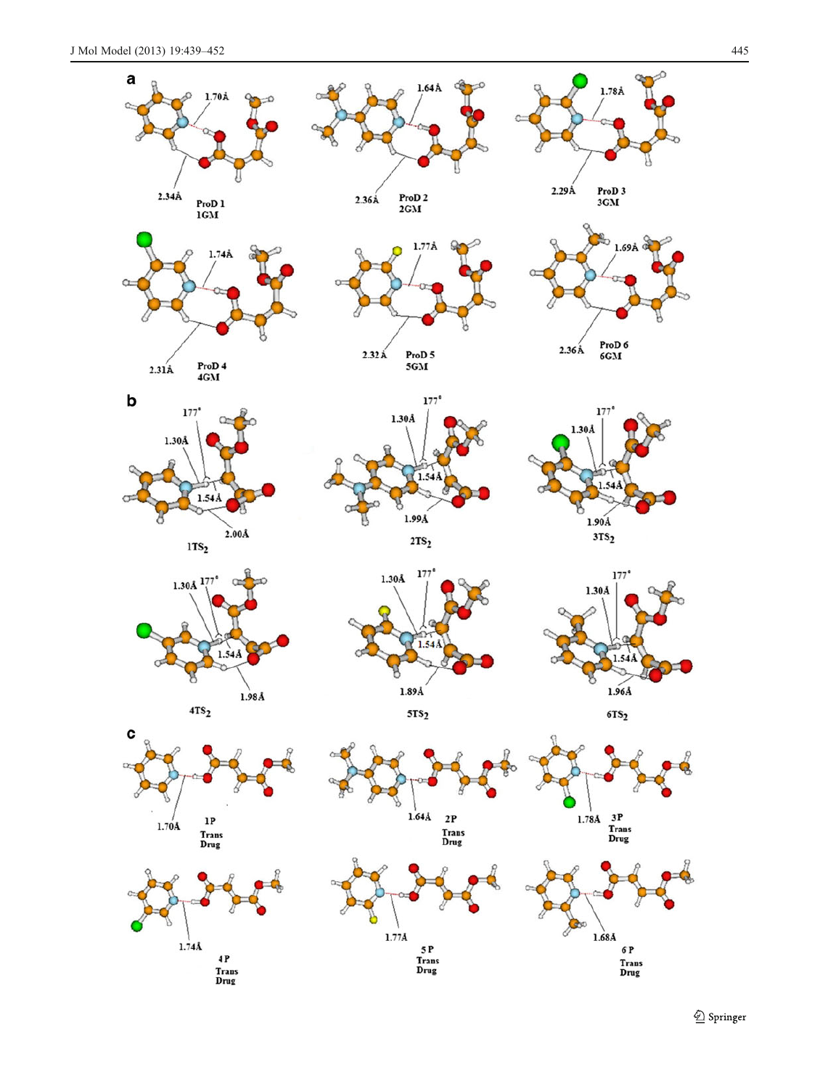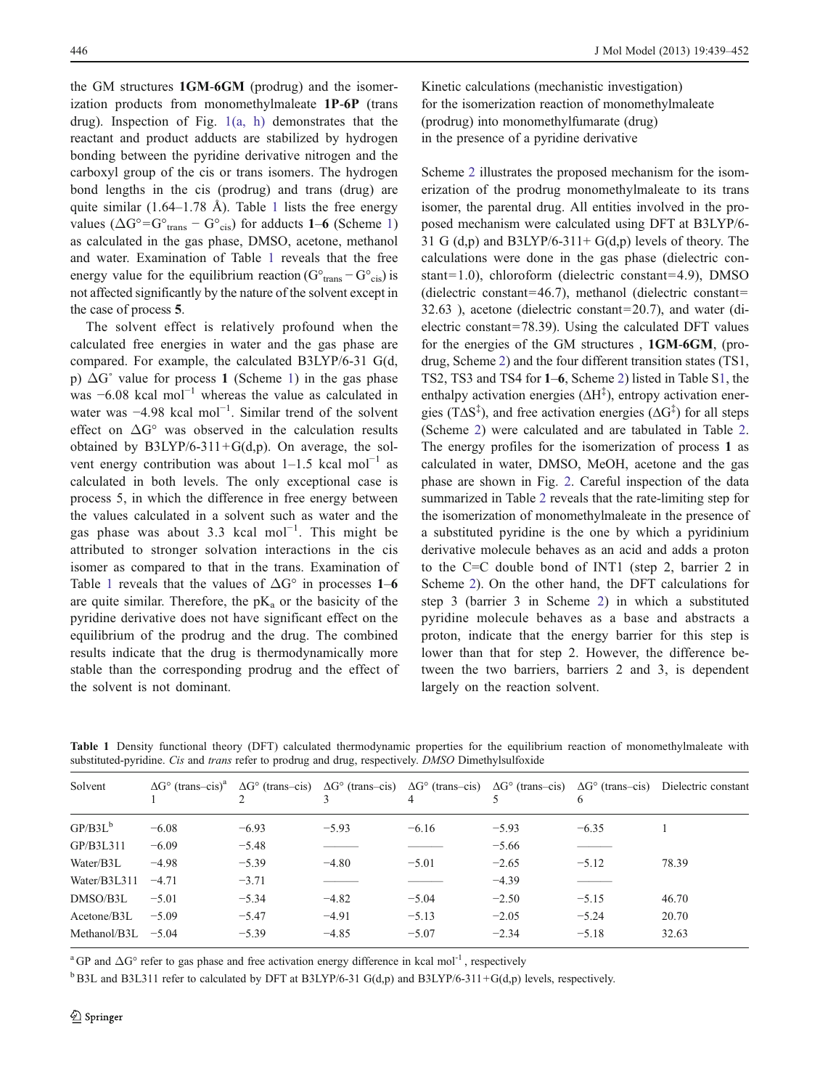the GM structures 1GM-6GM (prodrug) and the isomerization products from monomethylmaleate 1P-6P (trans drug). Inspection of Fig. [1\(a, h\)](#page-5-0) demonstrates that the reactant and product adducts are stabilized by hydrogen bonding between the pyridine derivative nitrogen and the carboxyl group of the cis or trans isomers. The hydrogen bond lengths in the cis (prodrug) and trans (drug) are quite similar  $(1.64-1.78 \text{ Å})$ . Table 1 lists the free energy values  $(\Delta G^{\circ} = G^{\circ}_{trans} - G^{\circ}_{cis})$  for adducts 1–6 (Scheme [1\)](#page-3-0) as calculated in the gas phase, DMSO, acetone, methanol and water. Examination of Table 1 reveals that the free energy value for the equilibrium reaction ( $G<sup>o</sup>$ <sub>trans</sub> –  $G<sup>o</sup>$ <sub>cis</sub>) is not affected significantly by the nature of the solvent except in the case of process 5.

The solvent effect is relatively profound when the calculated free energies in water and the gas phase are compared. For example, the calculated B3LYP/6-31 G(d, p)  $\Delta G^{\circ}$  value for process 1 (Scheme [1\)](#page-3-0) in the gas phase was  $-6.08$  kcal mol<sup>-1</sup> whereas the value as calculated in water was -4.98 kcal mol<sup>-1</sup>. Similar trend of the solvent effect on  $\Delta G^{\circ}$  was observed in the calculation results obtained by  $B3LYP/6-311+G(d,p)$ . On average, the solvent energy contribution was about  $1-1.5$  kcal mol<sup>-1</sup> as calculated in both levels. The only exceptional case is process 5, in which the difference in free energy between the values calculated in a solvent such as water and the gas phase was about 3.3 kcal mol<sup>-1</sup>. This might be attributed to stronger solvation interactions in the cis isomer as compared to that in the trans. Examination of Table 1 reveals that the values of  $\Delta G^{\circ}$  in processes 1–6 are quite similar. Therefore, the  $pK_a$  or the basicity of the pyridine derivative does not have significant effect on the equilibrium of the prodrug and the drug. The combined results indicate that the drug is thermodynamically more stable than the corresponding prodrug and the effect of the solvent is not dominant.

Kinetic calculations (mechanistic investigation) for the isomerization reaction of monomethylmaleate (prodrug) into monomethylfumarate (drug) in the presence of a pyridine derivative

Scheme [2](#page-4-0) illustrates the proposed mechanism for the isomerization of the prodrug monomethylmaleate to its trans isomer, the parental drug. All entities involved in the proposed mechanism were calculated using DFT at B3LYP/6- 31 G (d,p) and B3LYP/6-311+ G(d,p) levels of theory. The calculations were done in the gas phase (dielectric constant=1.0), chloroform (dielectric constant=4.9), DMSO (dielectric constant=46.7), methanol (dielectric constant=  $32.63$ ), acetone (dielectric constant=20.7), and water (dielectric constant=78.39). Using the calculated DFT values for the energies of the GM structures , 1GM-6GM, (prodrug, Scheme [2\)](#page-4-0) and the four different transition states (TS1, TS2, TS3 and TS4 for 1–6, Scheme [2\)](#page-4-0) listed in Table S1, the enthalpy activation energies  $(\Delta H^{\ddagger})$ , entropy activation energies ( $T\Delta S^{\ddagger}$ ), and free activation energies ( $\Delta G^{\ddagger}$ ) for all steps (Scheme [2\)](#page-4-0) were calculated and are tabulated in Table [2.](#page-8-0) The energy profiles for the isomerization of process 1 as calculated in water, DMSO, MeOH, acetone and the gas phase are shown in Fig. [2.](#page-8-0) Careful inspection of the data summarized in Table [2](#page-8-0) reveals that the rate-limiting step for the isomerization of monomethylmaleate in the presence of a substituted pyridine is the one by which a pyridinium derivative molecule behaves as an acid and adds a proton to the C=C double bond of INT1 (step 2, barrier 2 in Scheme [2](#page-4-0)). On the other hand, the DFT calculations for step 3 (barrier 3 in Scheme [2](#page-4-0)) in which a substituted pyridine molecule behaves as a base and abstracts a proton, indicate that the energy barrier for this step is lower than that for step 2. However, the difference between the two barriers, barriers 2 and 3, is dependent largely on the reaction solvent.

| Solvent              |         |         |         | 4       |         |         | $\Delta G^{\circ}$ (trans-cis) <sup>a</sup> $\Delta G^{\circ}$ (trans-cis) $\Delta G^{\circ}$ (trans-cis) $\Delta G^{\circ}$ (trans-cis) $\Delta G^{\circ}$ (trans-cis) $\Delta G^{\circ}$ (trans-cis) Dielectric constant |
|----------------------|---------|---------|---------|---------|---------|---------|----------------------------------------------------------------------------------------------------------------------------------------------------------------------------------------------------------------------------|
| $GP/B3L^b$           | $-6.08$ | $-6.93$ | $-5.93$ | $-6.16$ | $-5.93$ | $-6.35$ |                                                                                                                                                                                                                            |
| GP/B3L311            | $-6.09$ | $-5.48$ |         |         | $-5.66$ |         |                                                                                                                                                                                                                            |
| Water/B3L            | $-4.98$ | $-5.39$ | $-4.80$ | $-5.01$ | $-2.65$ | $-5.12$ | 78.39                                                                                                                                                                                                                      |
| Water/B3L311         | $-4.71$ | $-3.71$ |         |         | $-4.39$ |         |                                                                                                                                                                                                                            |
| DMSO/B3L             | $-5.01$ | $-5.34$ | $-4.82$ | $-5.04$ | $-2.50$ | $-5.15$ | 46.70                                                                                                                                                                                                                      |
| Acetone/B3L          | $-5.09$ | $-5.47$ | $-4.91$ | $-5.13$ | $-2.05$ | $-5.24$ | 20.70                                                                                                                                                                                                                      |
| Methanol/B3L $-5.04$ |         | $-5.39$ | $-4.85$ | $-5.07$ | $-2.34$ | $-5.18$ | 32.63                                                                                                                                                                                                                      |
|                      |         |         |         |         |         |         |                                                                                                                                                                                                                            |

Table 1 Density functional theory (DFT) calculated thermodynamic properties for the equilibrium reaction of monomethylmaleate with substituted-pyridine. Cis and trans refer to prodrug and drug, respectively. DMSO Dimethylsulfoxide

<sup>a</sup> GP and  $\Delta G^{\circ}$  refer to gas phase and free activation energy difference in kcal mol<sup>-1</sup>, respectively

 $b$ B3L and B3L311 refer to calculated by DFT at B3LYP/6-31 G(d,p) and B3LYP/6-311+G(d,p) levels, respectively.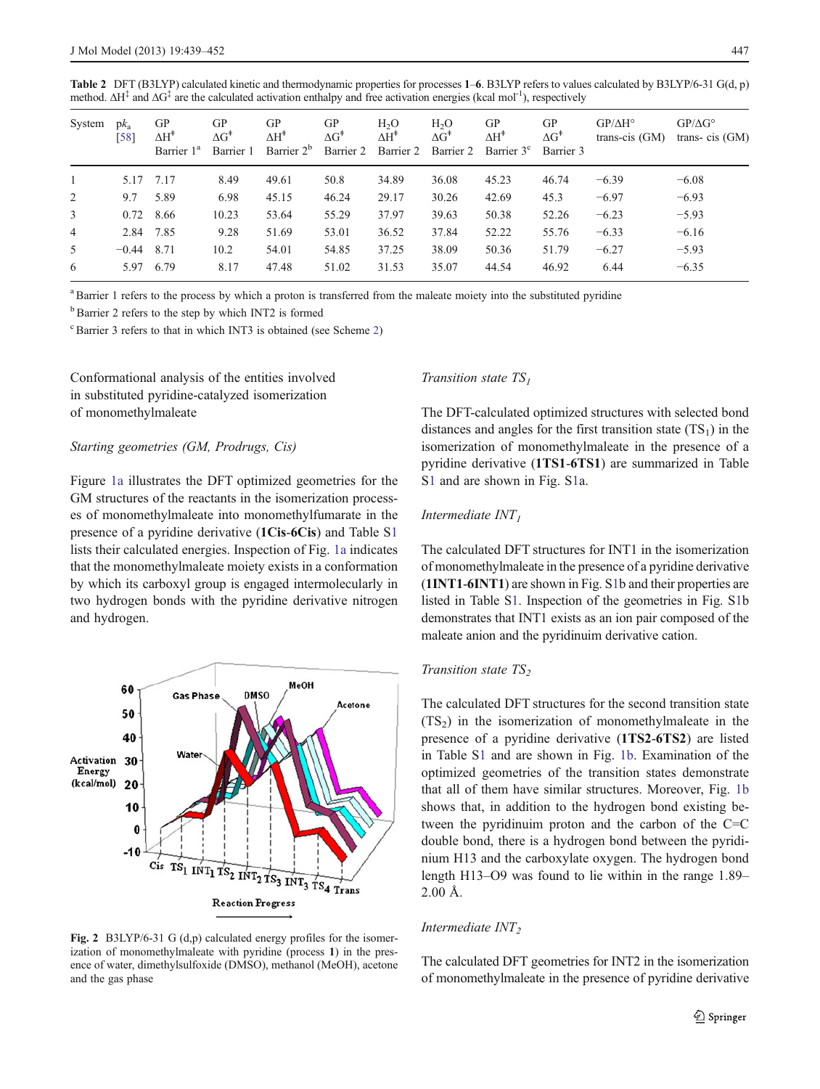<span id="page-8-0"></span>Table 2 DFT (B3LYP) calculated kinetic and thermodynamic properties for processes 1–6. B3LYP refers to values calculated by B3LYP/6-31 G(d, p) method.  $\Delta H^{\ddagger}$  and  $\Delta G^{\ddagger}$  are the calculated activation enthalpy and free activation energies (kcal mol<sup>-1</sup>), respectively

| System         | $pk_a$<br>[58] | GP<br>$\Delta H^*$<br>Barrier 1 <sup>a</sup> | GP<br>$\Delta G^*$<br>Barrier 1 | GP<br>$\Delta H^{\ddagger}$<br>Barrier 2 <sup>b</sup> | GP<br>$\Delta G^{\ddagger}$<br>Barrier 2 | H <sub>2</sub> O<br>$\Delta H^*$<br>Barrier 2 | $H_2O$<br>$\Delta G^*$<br>Barrier 2 | GP<br>$\Delta H^{\ddagger}$<br>Barrier 3 <sup>c</sup> | GP<br>$\Delta G^*$<br>Barrier 3 | $GP/\Delta H^{\circ}$<br>trans-cis $(GM)$ | $GP/\Delta G^{\circ}$<br>trans-cis $(GM)$ |
|----------------|----------------|----------------------------------------------|---------------------------------|-------------------------------------------------------|------------------------------------------|-----------------------------------------------|-------------------------------------|-------------------------------------------------------|---------------------------------|-------------------------------------------|-------------------------------------------|
|                |                | 5.17 7.17                                    | 8.49                            | 49.61                                                 | 50.8                                     | 34.89                                         | 36.08                               | 45.23                                                 | 46.74                           | $-6.39$                                   | $-6.08$                                   |
| 2              | 9.7            | 5.89                                         | 6.98                            | 45.15                                                 | 46.24                                    | 29.17                                         | 30.26                               | 42.69                                                 | 45.3                            | $-6.97$                                   | $-6.93$                                   |
| 3              |                | 0.72 8.66                                    | 10.23                           | 53.64                                                 | 55.29                                    | 37.97                                         | 39.63                               | 50.38                                                 | 52.26                           | $-6.23$                                   | $-5.93$                                   |
| $\overline{4}$ | 2.84 7.85      |                                              | 9.28                            | 51.69                                                 | 53.01                                    | 36.52                                         | 37.84                               | 52.22                                                 | 55.76                           | $-6.33$                                   | $-6.16$                                   |
| 5              | $-0.44$ 8.71   |                                              | 10.2                            | 54.01                                                 | 54.85                                    | 37.25                                         | 38.09                               | 50.36                                                 | 51.79                           | $-6.27$                                   | $-5.93$                                   |
| 6              |                | 5.97 6.79                                    | 8.17                            | 47.48                                                 | 51.02                                    | 31.53                                         | 35.07                               | 44.54                                                 | 46.92                           | 6.44                                      | $-6.35$                                   |

<sup>a</sup>Barrier 1 refers to the process by which a proton is transferred from the maleate moiety into the substituted pyridine

 $b$ Barrier 2 refers to the step by which INT2 is formed

 $\textdegree$ Barrier 3 refers to that in which INT3 is obtained (see Scheme [2](#page-4-0))

Conformational analysis of the entities involved in substituted pyridine-catalyzed isomerization of monomethylmaleate

#### Starting geometries (GM, Prodrugs, Cis)

Figure [1a](#page-5-0) illustrates the DFT optimized geometries for the GM structures of the reactants in the isomerization processes of monomethylmaleate into monomethylfumarate in the presence of a pyridine derivative (1Cis-6Cis) and Table S1 lists their calculated energies. Inspection of Fig. [1a](#page-5-0) indicates that the monomethylmaleate moiety exists in a conformation by which its carboxyl group is engaged intermolecularly in two hydrogen bonds with the pyridine derivative nitrogen and hydrogen.



Fig. 2 B3LYP/6-31 G (d,p) calculated energy profiles for the isomerization of monomethylmaleate with pyridine (process 1) in the presence of water, dimethylsulfoxide (DMSO), methanol (MeOH), acetone and the gas phase

## Transition state  $TS<sub>1</sub>$

The DFT-calculated optimized structures with selected bond distances and angles for the first transition state  $(TS_1)$  in the isomerization of monomethylmaleate in the presence of a pyridine derivative (1TS1-6TS1) are summarized in Table S1 and are shown in Fig. S1a.

# Intermediate  $INT<sub>I</sub>$

The calculated DFT structures for INT1 in the isomerization of monomethylmaleate in the presence of a pyridine derivative (1INT1-6INT1) are shown in Fig. S1b and their properties are listed in Table S1. Inspection of the geometries in Fig. S1b demonstrates that INT1 exists as an ion pair composed of the maleate anion and the pyridinuim derivative cation.

#### Transition state  $TS<sub>2</sub>$

The calculated DFT structures for the second transition state  $(TS<sub>2</sub>)$  in the isomerization of monomethylmaleate in the presence of a pyridine derivative (1TS2-6TS2) are listed in Table S1 and are shown in Fig. [1b](#page-5-0). Examination of the optimized geometries of the transition states demonstrate that all of them have similar structures. Moreover, Fig. [1b](#page-5-0) shows that, in addition to the hydrogen bond existing between the pyridinuim proton and the carbon of the  $C=C$ double bond, there is a hydrogen bond between the pyridinium H13 and the carboxylate oxygen. The hydrogen bond length H13–O9 was found to lie within in the range 1.89– 2.00 Å.

## Intermediate  $INT<sub>2</sub>$

The calculated DFT geometries for INT2 in the isomerization of monomethylmaleate in the presence of pyridine derivative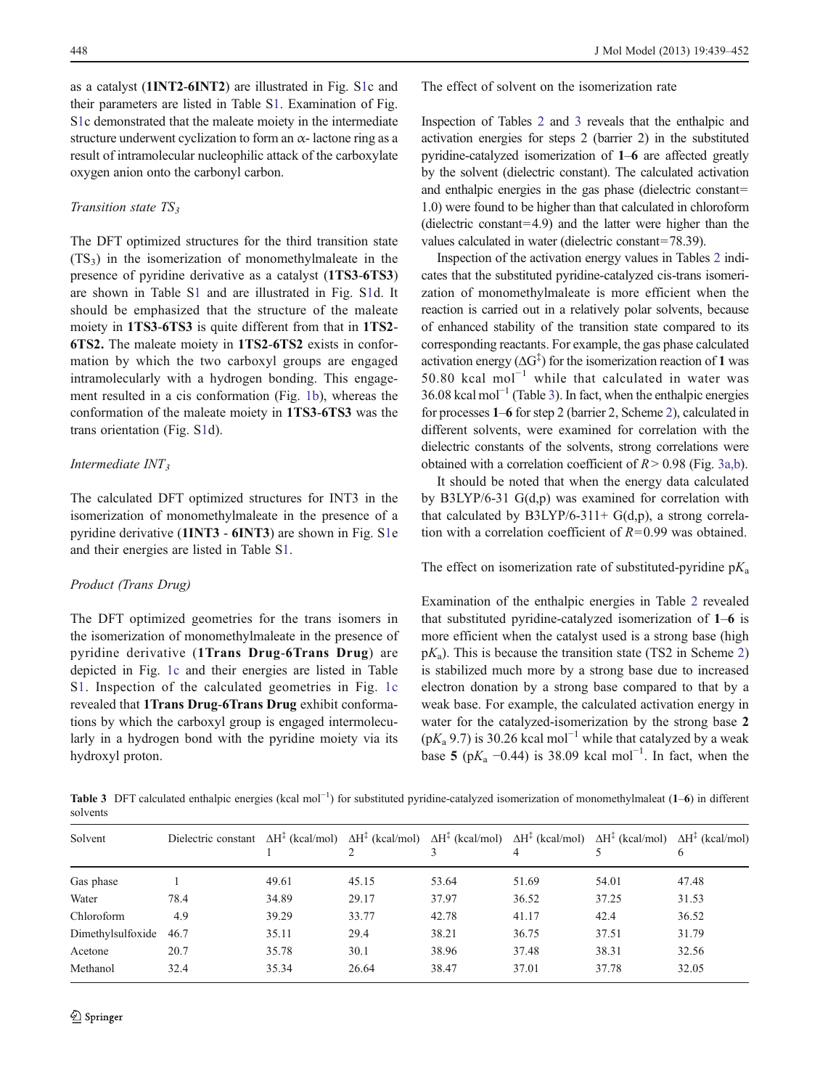as a catalyst (1INT2-6INT2) are illustrated in Fig. S1c and their parameters are listed in Table S1. Examination of Fig. S1c demonstrated that the maleate moiety in the intermediate structure underwent cyclization to form an  $\alpha$ - lactone ring as a result of intramolecular nucleophilic attack of the carboxylate oxygen anion onto the carbonyl carbon.

## Transition state  $TS_3$

The DFT optimized structures for the third transition state  $(TS_3)$  in the isomerization of monomethylmaleate in the presence of pyridine derivative as a catalyst (1TS3-6TS3) are shown in Table S1 and are illustrated in Fig. S1d. It should be emphasized that the structure of the maleate moiety in 1TS3-6TS3 is quite different from that in 1TS2- 6TS2. The maleate moiety in 1TS2-6TS2 exists in conformation by which the two carboxyl groups are engaged intramolecularly with a hydrogen bonding. This engagement resulted in a cis conformation (Fig. [1b\)](#page-5-0), whereas the conformation of the maleate moiety in 1TS3-6TS3 was the trans orientation (Fig. S1d).

# Intermediate  $INT<sub>3</sub>$

The calculated DFT optimized structures for INT3 in the isomerization of monomethylmaleate in the presence of a pyridine derivative (1INT3 - 6INT3) are shown in Fig. S1e and their energies are listed in Table S1.

# Product (Trans Drug)

The DFT optimized geometries for the trans isomers in the isomerization of monomethylmaleate in the presence of pyridine derivative (1Trans Drug-6Trans Drug) are depicted in Fig. [1c](#page-5-0) and their energies are listed in Table S1. Inspection of the calculated geometries in Fig. [1c](#page-5-0) revealed that 1Trans Drug-6Trans Drug exhibit conformations by which the carboxyl group is engaged intermolecularly in a hydrogen bond with the pyridine moiety via its hydroxyl proton.

The effect of solvent on the isomerization rate

Inspection of Tables [2](#page-8-0) and 3 reveals that the enthalpic and activation energies for steps 2 (barrier 2) in the substituted pyridine-catalyzed isomerization of 1–6 are affected greatly by the solvent (dielectric constant). The calculated activation and enthalpic energies in the gas phase (dielectric constant= 1.0) were found to be higher than that calculated in chloroform (dielectric constant=4.9) and the latter were higher than the values calculated in water (dielectric constant=78.39).

Inspection of the activation energy values in Tables [2](#page-8-0) indicates that the substituted pyridine-catalyzed cis-trans isomerization of monomethylmaleate is more efficient when the reaction is carried out in a relatively polar solvents, because of enhanced stability of the transition state compared to its corresponding reactants. For example, the gas phase calculated activation energy  $(\Delta G^{\ddagger})$  for the isomerization reaction of 1 was 50.80 kcal mol−<sup>1</sup> while that calculated in water was  $36.08$  kcal mol<sup>-1</sup> (Table 3). In fact, when the enthalpic energies for processes 1–6 for step 2 (barrier 2, Scheme [2\)](#page-4-0), calculated in different solvents, were examined for correlation with the dielectric constants of the solvents, strong correlations were obtained with a correlation coefficient of  $R > 0.98$  (Fig. [3a,b\)](#page-10-0).

It should be noted that when the energy data calculated by B3LYP/6-31 G(d,p) was examined for correlation with that calculated by B3LYP/6-311+  $G(d,p)$ , a strong correlation with a correlation coefficient of  $R=0.99$  was obtained.

The effect on isomerization rate of substituted-pyridine  $pK_a$ 

Examination of the enthalpic energies in Table [2](#page-8-0) revealed that substituted pyridine-catalyzed isomerization of 1–6 is more efficient when the catalyst used is a strong base (high  $pK_a$ ). This is because the transition state (TS[2](#page-4-0) in Scheme 2) is stabilized much more by a strong base due to increased electron donation by a strong base compared to that by a weak base. For example, the calculated activation energy in water for the catalyzed-isomerization by the strong base 2  $(pK<sub>a</sub> 9.7)$  is 30.26 kcal mol<sup>-1</sup> while that catalyzed by a weak base 5 (p $K_a$  –0.44) is 38.09 kcal mol<sup>-1</sup>. In fact, when the

Table 3 DFT calculated enthalpic energies (kcal mol<sup>-1</sup>) for substituted pyridine-catalyzed isomerization of monomethylmaleat (1–6) in different solvents

| Solvent           | Dielectric constant $\Delta H^{\ddagger}$ (kcal/mol) $\Delta H^{\ddagger}$ (kcal/mol) $\Delta H^{\ddagger}$ (kcal/mol) $\Delta H^{\ddagger}$ (kcal/mol) $\Delta H^{\ddagger}$ (kcal/mol) $\Delta H^{\ddagger}$ (kcal/mol) |       |       |       |       |       |       |
|-------------------|---------------------------------------------------------------------------------------------------------------------------------------------------------------------------------------------------------------------------|-------|-------|-------|-------|-------|-------|
| Gas phase         |                                                                                                                                                                                                                           | 49.61 | 45.15 | 53.64 | 51.69 | 54.01 | 47.48 |
| Water             | 78.4                                                                                                                                                                                                                      | 34.89 | 29.17 | 37.97 | 36.52 | 37.25 | 31.53 |
| Chloroform        | 4.9                                                                                                                                                                                                                       | 39.29 | 33.77 | 42.78 | 41.17 | 42.4  | 36.52 |
| Dimethylsulfoxide | 46.7                                                                                                                                                                                                                      | 35.11 | 29.4  | 38.21 | 36.75 | 37.51 | 31.79 |
| Acetone           | 20.7                                                                                                                                                                                                                      | 35.78 | 30.1  | 38.96 | 37.48 | 38.31 | 32.56 |
| Methanol          | 32.4                                                                                                                                                                                                                      | 35.34 | 26.64 | 38.47 | 37.01 | 37.78 | 32.05 |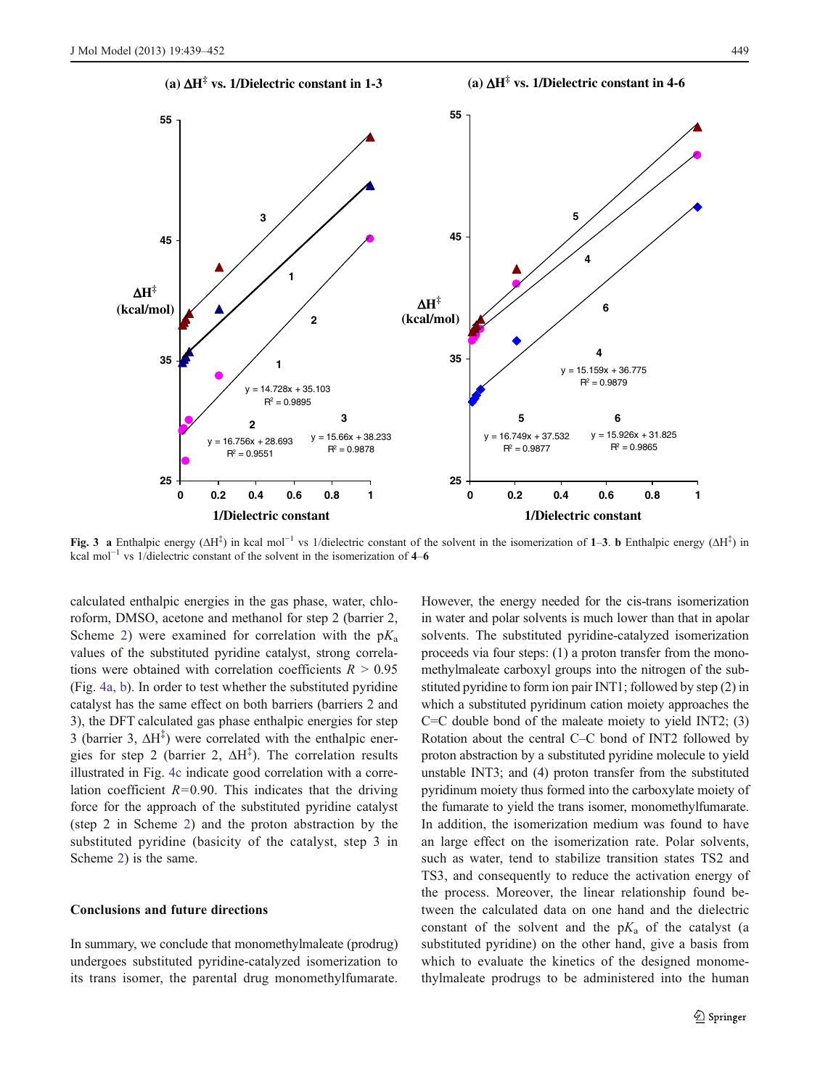<span id="page-10-0"></span>

Fig. 3 a Enthalpic energy ( $\Delta H^{\ddagger}$ ) in kcal mol<sup>-1</sup> vs 1/dielectric constant of the solvent in the isomerization of 1–3. b Enthalpic energy ( $\Delta H^{\ddagger}$ ) in kcal mol<sup> $-1$ </sup> vs 1/dielectric constant of the solvent in the isomerization of 4–6

calculated enthalpic energies in the gas phase, water, chloroform, DMSO, acetone and methanol for step 2 (barrier 2, Scheme [2\)](#page-4-0) were examined for correlation with the  $pK_a$ values of the substituted pyridine catalyst, strong correlations were obtained with correlation coefficients  $R > 0.95$ (Fig. [4a, b](#page-11-0)). In order to test whether the substituted pyridine catalyst has the same effect on both barriers (barriers 2 and 3), the DFT calculated gas phase enthalpic energies for step 3 (barrier 3,  $\Delta H^{\ddagger}$ ) were correlated with the enthalpic energies for step 2 (barrier 2,  $\Delta H^{\ddagger}$ ). The correlation results illustrated in Fig. [4c](#page-11-0) indicate good correlation with a correlation coefficient  $R=0.90$ . This indicates that the driving force for the approach of the substituted pyridine catalyst (step 2 in Scheme [2\)](#page-4-0) and the proton abstraction by the substituted pyridine (basicity of the catalyst, step 3 in Scheme [2](#page-4-0)) is the same.

## Conclusions and future directions

In summary, we conclude that monomethylmaleate (prodrug) undergoes substituted pyridine-catalyzed isomerization to its trans isomer, the parental drug monomethylfumarate.

However, the energy needed for the cis-trans isomerization in water and polar solvents is much lower than that in apolar solvents. The substituted pyridine-catalyzed isomerization proceeds via four steps: (1) a proton transfer from the monomethylmaleate carboxyl groups into the nitrogen of the substituted pyridine to form ion pair INT1; followed by step (2) in which a substituted pyridinum cation moiety approaches the  $C=C$  double bond of the maleate moiety to yield INT2; (3) Rotation about the central C–C bond of INT2 followed by proton abstraction by a substituted pyridine molecule to yield unstable INT3; and (4) proton transfer from the substituted pyridinum moiety thus formed into the carboxylate moiety of the fumarate to yield the trans isomer, monomethylfumarate. In addition, the isomerization medium was found to have an large effect on the isomerization rate. Polar solvents, such as water, tend to stabilize transition states TS2 and TS3, and consequently to reduce the activation energy of the process. Moreover, the linear relationship found between the calculated data on one hand and the dielectric constant of the solvent and the  $pK_a$  of the catalyst (a substituted pyridine) on the other hand, give a basis from which to evaluate the kinetics of the designed monomethylmaleate prodrugs to be administered into the human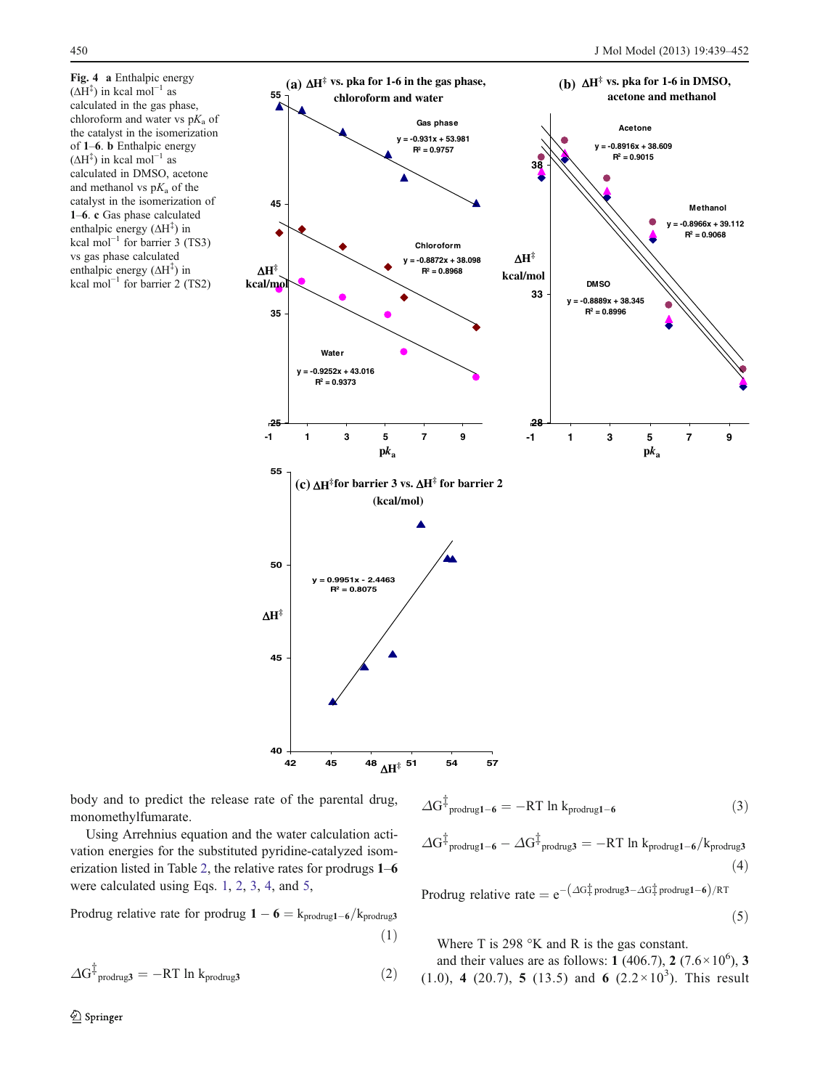<span id="page-11-0"></span>Fig. 4 a Enthalpic energy  $(\Delta H^{\ddagger})$  in kcal mol<sup>-1</sup> as calculated in the gas phase, chloroform and water vs  $pK_a$  of the catalyst in the isomerization of 1–6. b Enthalpic energy  $( \Delta H^{\ddagger})$  in kcal mol<sup>-1</sup> as calculated in DMSO, acetone and methanol vs  $pK_a$  of the catalyst in the isomerization of 1–6. c Gas phase calculated enthalpic energy  $( \Delta H^{\ddagger})$  in kcal mol<sup> $-1$ </sup> for barrier 3 (TS3) vs gas phase calculated enthalpic energy (ΔH<sup>‡</sup>) in kcal mol<sup>-1</sup> for barrier 2 (TS2)



body and to predict the release rate of the parental drug, monomethylfumarate.

Using Arrehnius equation and the water calculation activation energies for the substituted pyridine-catalyzed isomerization listed in Table [2,](#page-8-0) the relative rates for prodrugs 1–6 were calculated using Eqs. 1, 2, 3, 4, and 5,

Prodrug relative rate for prodrug  $1 - 6 = k_{\text{product}} - 6/k_{\text{product}}$  $(1)$ 

$$
\Delta G^{\ddagger}_{\text{produgs}} = -RT \ln k_{\text{produgs}} \tag{2}
$$

$$
\Delta G^{\ddagger}_{\text{product-6}} = -RT \ln k_{\text{product-6}} \tag{3}
$$

$$
\Delta G^{\ddagger}_{\text{produgl-6}} - \Delta G^{\ddagger}_{\text{produug3}} = -RT \ln k_{\text{produgl-6}}/k_{\text{produg3}} \tag{4}
$$

Prodrug relative rate =  $e^{-(\Delta G\frac{t}{r}prodrug3-\Delta G\frac{t}{r}prodrug1-6)/RT}$ 

$$
(5)
$$

Where T is 298 °K and R is the gas constant.

and their values are as follows: 1 (406.7), 2 (7.6 $\times$ 10<sup>6</sup>), 3  $(1.0)$ , 4  $(20.7)$ , 5  $(13.5)$  and 6  $(2.2 \times 10^3)$ . This result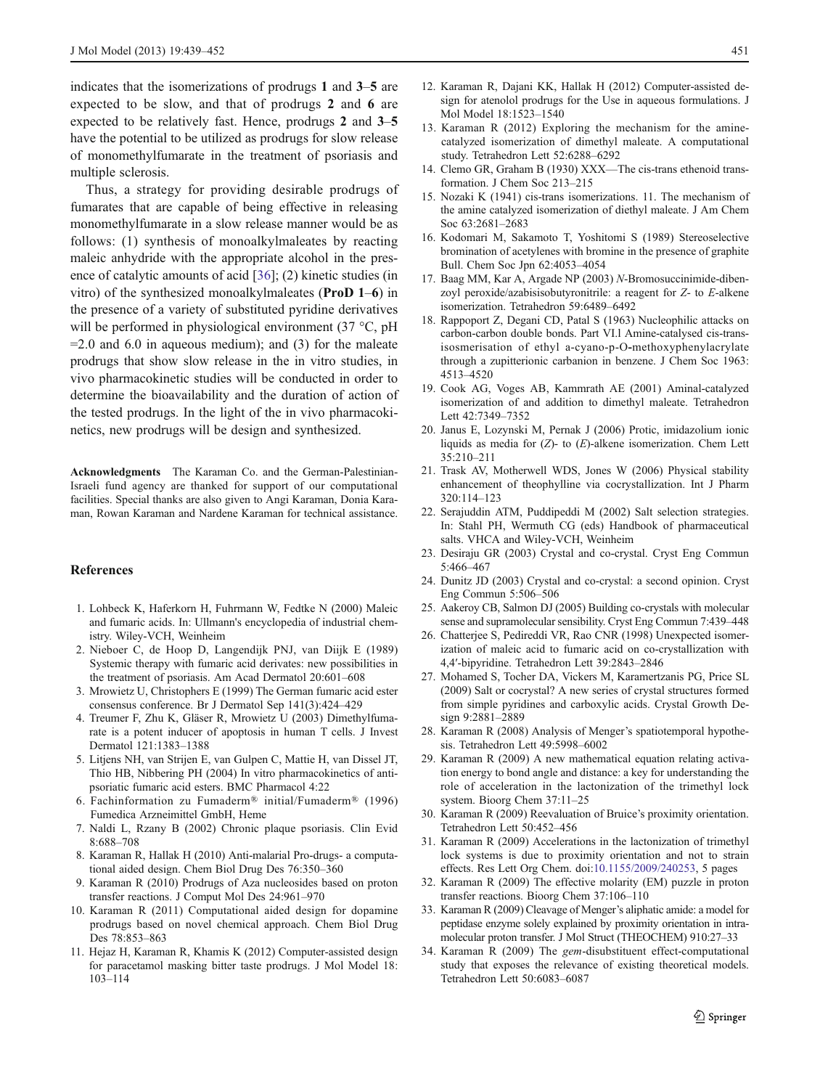<span id="page-12-0"></span>indicates that the isomerizations of prodrugs 1 and 3–5 are expected to be slow, and that of prodrugs 2 and 6 are expected to be relatively fast. Hence, prodrugs 2 and 3–5 have the potential to be utilized as prodrugs for slow release of monomethylfumarate in the treatment of psoriasis and multiple sclerosis.

Thus, a strategy for providing desirable prodrugs of fumarates that are capable of being effective in releasing monomethylfumarate in a slow release manner would be as follows: (1) synthesis of monoalkylmaleates by reacting maleic anhydride with the appropriate alcohol in the presence of catalytic amounts of acid [[36\]](#page-13-0); (2) kinetic studies (in vitro) of the synthesized monoalkylmaleates (ProD 1–6) in the presence of a variety of substituted pyridine derivatives will be performed in physiological environment (37 °C, pH)  $=$  2.0 and 6.0 in aqueous medium); and (3) for the maleate prodrugs that show slow release in the in vitro studies, in vivo pharmacokinetic studies will be conducted in order to determine the bioavailability and the duration of action of the tested prodrugs. In the light of the in vivo pharmacokinetics, new prodrugs will be design and synthesized.

Acknowledgments The Karaman Co. and the German-Palestinian-Israeli fund agency are thanked for support of our computational facilities. Special thanks are also given to Angi Karaman, Donia Karaman, Rowan Karaman and Nardene Karaman for technical assistance.

## References

- 1. Lohbeck K, Haferkorn H, Fuhrmann W, Fedtke N (2000) Maleic and fumaric acids. In: Ullmann's encyclopedia of industrial chemistry. Wiley-VCH, Weinheim
- 2. Nieboer C, de Hoop D, Langendijk PNJ, van Diijk E (1989) Systemic therapy with fumaric acid derivates: new possibilities in the treatment of psoriasis. Am Acad Dermatol 20:601–608
- 3. Mrowietz U, Christophers E (1999) The German fumaric acid ester consensus conference. Br J Dermatol Sep 141(3):424–429
- 4. Treumer F, Zhu K, Gläser R, Mrowietz U (2003) Dimethylfumarate is a potent inducer of apoptosis in human T cells. J Invest Dermatol 121:1383–1388
- 5. Litjens NH, van Strijen E, van Gulpen C, Mattie H, van Dissel JT, Thio HB, Nibbering PH (2004) In vitro pharmacokinetics of antipsoriatic fumaric acid esters. BMC Pharmacol 4:22
- 6. Fachinformation zu Fumaderm® initial/Fumaderm® (1996) Fumedica Arzneimittel GmbH, Heme
- 7. Naldi L, Rzany B (2002) Chronic plaque psoriasis. Clin Evid 8:688–708
- 8. Karaman R, Hallak H (2010) Anti-malarial Pro-drugs- a computational aided design. Chem Biol Drug Des 76:350–360
- 9. Karaman R (2010) Prodrugs of Aza nucleosides based on proton transfer reactions. J Comput Mol Des 24:961–970
- 10. Karaman R (2011) Computational aided design for dopamine prodrugs based on novel chemical approach. Chem Biol Drug Des 78:853–863
- 11. Hejaz H, Karaman R, Khamis K (2012) Computer-assisted design for paracetamol masking bitter taste prodrugs. J Mol Model 18: 103–114
- 12. Karaman R, Dajani KK, Hallak H (2012) Computer-assisted design for atenolol prodrugs for the Use in aqueous formulations. J Mol Model 18:1523–1540
- 13. Karaman R (2012) Exploring the mechanism for the aminecatalyzed isomerization of dimethyl maleate. A computational study. Tetrahedron Lett 52:6288–6292
- 14. Clemo GR, Graham B (1930) XXX—The cis-trans ethenoid transformation. J Chem Soc 213–215
- 15. Nozaki K (1941) cis-trans isomerizations. 11. The mechanism of the amine catalyzed isomerization of diethyl maleate. J Am Chem Soc 63:2681–2683
- 16. Kodomari M, Sakamoto T, Yoshitomi S (1989) Stereoselective bromination of acetylenes with bromine in the presence of graphite Bull. Chem Soc Jpn 62:4053–4054
- 17. Baag MM, Kar A, Argade NP (2003) N-Bromosuccinimide-dibenzoyl peroxide/azabisisobutyronitrile: a reagent for Z- to E-alkene isomerization. Tetrahedron 59:6489–6492
- 18. Rappoport Z, Degani CD, Patal S (1963) Nucleophilic attacks on carbon-carbon double bonds. Part VI.l Amine-catalysed cis-transisosmerisation of ethyl a-cyano-p-O-methoxyphenylacrylate through a zupitterionic carbanion in benzene. J Chem Soc 1963: 4513–4520
- 19. Cook AG, Voges AB, Kammrath AE (2001) Aminal-catalyzed isomerization of and addition to dimethyl maleate. Tetrahedron Lett 42:7349–7352
- 20. Janus E, Lozynski M, Pernak J (2006) Protic, imidazolium ionic liquids as media for  $(Z)$ - to  $(E)$ -alkene isomerization. Chem Lett 35:210–211
- 21. Trask AV, Motherwell WDS, Jones W (2006) Physical stability enhancement of theophylline via cocrystallization. Int J Pharm 320:114–123
- 22. Serajuddin ATM, Puddipeddi M (2002) Salt selection strategies. In: Stahl PH, Wermuth CG (eds) Handbook of pharmaceutical salts. VHCA and Wiley-VCH, Weinheim
- 23. Desiraju GR (2003) Crystal and co-crystal. Cryst Eng Commun 5:466–467
- 24. Dunitz JD (2003) Crystal and co-crystal: a second opinion. Cryst Eng Commun 5:506–506
- 25. Aakeroy CB, Salmon DJ (2005) Building co-crystals with molecular sense and supramolecular sensibility. Cryst Eng Commun 7:439–448
- 26. Chatterjee S, Pedireddi VR, Rao CNR (1998) Unexpected isomerization of maleic acid to fumaric acid on co-crystallization with 4,4′-bipyridine. Tetrahedron Lett 39:2843–2846
- 27. Mohamed S, Tocher DA, Vickers M, Karamertzanis PG, Price SL (2009) Salt or cocrystal? A new series of crystal structures formed from simple pyridines and carboxylic acids. Crystal Growth Design 9:2881–2889
- 28. Karaman R (2008) Analysis of Menger's spatiotemporal hypothesis. Tetrahedron Lett 49:5998–6002
- 29. Karaman R (2009) A new mathematical equation relating activation energy to bond angle and distance: a key for understanding the role of acceleration in the lactonization of the trimethyl lock system. Bioorg Chem 37:11–25
- 30. Karaman R (2009) Reevaluation of Bruice's proximity orientation. Tetrahedron Lett 50:452–456
- 31. Karaman R (2009) Accelerations in the lactonization of trimethyl lock systems is due to proximity orientation and not to strain effects. Res Lett Org Chem. doi[:10.1155/2009/240253](http://dx.doi.org/10.1155/2009/240253), 5 pages
- 32. Karaman R (2009) The effective molarity (EM) puzzle in proton transfer reactions. Bioorg Chem 37:106–110
- 33. Karaman R (2009) Cleavage of Menger's aliphatic amide: a model for peptidase enzyme solely explained by proximity orientation in intramolecular proton transfer. J Mol Struct (THEOCHEM) 910:27–33
- 34. Karaman R (2009) The gem-disubstituent effect-computational study that exposes the relevance of existing theoretical models. Tetrahedron Lett 50:6083–6087